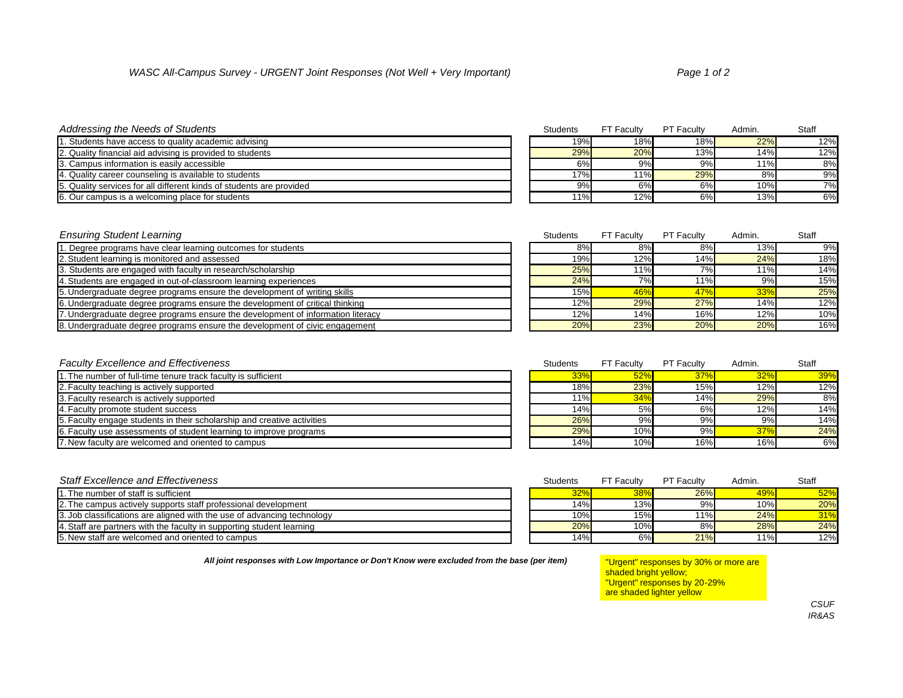### *Addressing the Needs of Students* Students Students FT Faculty **Students** FT Faculty **PT Faculty PT Faculty PT Faculty**

| . Students have access to quality academic advising                  | 19% | 18% | 18% | 22% | 12% |
|----------------------------------------------------------------------|-----|-----|-----|-----|-----|
| 2. Quality financial aid advising is provided to students            | 29% | 20% | 13% | 14% | 12% |
| 3. Campus information is easily accessible                           | 6%  | 9%  | 9%  | 11% | 8%  |
| 4. Quality career counseling is available to students                | 17% | 11% | 29% | 8%  | 9%  |
| 5. Quality services for all different kinds of students are provided | 9%  | 6%  | 6%  | 10% | 7%  |
| 6. Our campus is a welcoming place for students                      | 11% | 12% | 6%  | 13% | 6%  |

## **Ensuring Student Learning**

| 1. Degree programs have clear learning outcomes for students                    | 8%  | 8%  | 8%  | 13% | 9%  |
|---------------------------------------------------------------------------------|-----|-----|-----|-----|-----|
| 2. Student learning is monitored and assessed                                   | 19% | 12% | 14% | 24% | 18% |
| 3. Students are engaged with faculty in research/scholarship                    | 25% | 11% | 7%  | 11% | 14% |
| 4. Students are engaged in out-of-classroom learning experiences                | 24% | 7%  | 11% | 9%  | 15% |
| 5. Undergraduate degree programs ensure the development of writing skills       | 15% | 46% | 47% | 33% | 25% |
| 6. Undergraduate degree programs ensure the development of critical thinking    | 12% | 29% | 27% | 14% | 12% |
| 7. Undergraduate degree programs ensure the development of information literacy | 12% | 14% | 16% | 12% | 10% |

8. Undergraduate degree programs ensure the development of civic engagement

### **Faculty Excellence and Effectiveness**

| 1. The number of full-time tenure track faculty is sufficient           | 33%    | 52% | 37% | 32% | 39% |
|-------------------------------------------------------------------------|--------|-----|-----|-----|-----|
| 2. Faculty teaching is actively supported                               | 18%    | 23% | 15% | 12% | 12% |
| 3. Faculty research is actively supported                               | $11\%$ | 34% | 14% | 29% | 8%  |
| 4. Faculty promote student success                                      | 14%    | 5%  | 6%  | 12% | 14% |
| 5. Faculty engage students in their scholarship and creative activities | 26%    | 9%  | 9%  | 9%  | 14% |
| E. Faculty use assessments of student learning to improve programs      | 29%    | 10% | 9%  | 37% | 24% |
| 7. New faculty are welcomed and oriented to campus                      | 14%    | 10% | 16% | 16% | 6%  |

### **Staff Excellence and Effectiveness**

| 1. The number of staff is sufficient                                    | 32% | $38\%$ | 26% | 49% | 52% |
|-------------------------------------------------------------------------|-----|--------|-----|-----|-----|
| 2. The campus actively supports staff professional development          | 14% | 13%    | 9%  | 10% | 20% |
| 3. Job classifications are aligned with the use of advancing technology | 10% | 15%    | 1%  | 24% | 31% |
| 4. Staff are partners with the faculty in supporting student learning   | 20% | 10%    | 8%  | 28% | 24% |
| 15. New staff are welcomed and oriented to campus                       | 14% | 6%     | 21% | 11% | 12% |

All joint responses with Low Importance or Don't Know were excluded from the base (per item)

| <i>ອ</i> ∕o∥    | 0/0               | ∪ ⁄o∥             | U/0    | 1/0          |
|-----------------|-------------------|-------------------|--------|--------------|
| 11%             | 12%               | 6%                | 13%    | 6%           |
|                 |                   |                   |        |              |
|                 |                   |                   |        |              |
| <b>Students</b> | <b>FT Faculty</b> | <b>PT Faculty</b> | Admin. | <b>Staff</b> |
| 8%              | 8%                | 8%                | 13%    | 9%           |
| 19%             | 12%               | 14%               | 24%    | 18%          |
| 25%             | 11%               | 7%                | 11%    | 14%          |
| 24%             | 7%                | 11%               | 9%     | 15%          |
| 15%             | 46%               | 47%               | 33%    | 25%          |
| 12%             | 29%               | 27%               | 14%    | 12%          |
| 12%             | 14%               | 16%               | 12%    | 10%          |
| 20%             | 23%               | 20%               | 20%    | 16%          |

| <b>Students</b> | <b>FT Faculty</b> | <b>PT Faculty</b> | Admin. | <b>Staff</b> |
|-----------------|-------------------|-------------------|--------|--------------|
| 33%             | 52%               | 37%               | 32%    | 39%          |
| 18%             | 23%               | 15%               | 12%    | 12%          |
| $11\%$          | 34%               | 14%               | 29%    | 8%           |
| 14%             | 5%                | 6%                | 12%    | 14%          |
| 26%             | 9%                | 9%                | 9%     | 14%          |
| 29%             | 10%               | 9%                | 37%    | 24%          |
| 14%             | 10%               | 16%               | 16%    | 6%           |
|                 |                   |                   |        |              |

| <b>Students</b> | <b>FT Faculty</b> | <b>PT Faculty</b> | Admin. | <b>Staff</b> |
|-----------------|-------------------|-------------------|--------|--------------|
| 32%             | 38%               | 26%               | 49%    | 52%          |
| 14%             | 13%               | 9%                | 10%    | 20%          |
| 10%             | 15%               | 11%               | 24%    | 31%          |
| 20%             | 10%               | 8%                | 28%    | 24%          |
| 14%             | 6%                | 21%               | 11%    | 12%          |

| "Urgent" responses by 30% or more are |  |
|---------------------------------------|--|
| shaded bright yellow;                 |  |
| "Urgent" responses by 20-29%          |  |
| are shaded lighter yellow             |  |

| <b>PT Faculty</b> | Admin. | <b>Staff</b> |
|-------------------|--------|--------------|
| 18%               | 22%    | 12%          |
| 13%               | 14%    | 12%          |
| 9%                | 11%    | 8%           |
| 29%               | 8%     | 9%           |
| 6%                | 10%    | 7%           |
| 6%                | 13%    | ና%           |